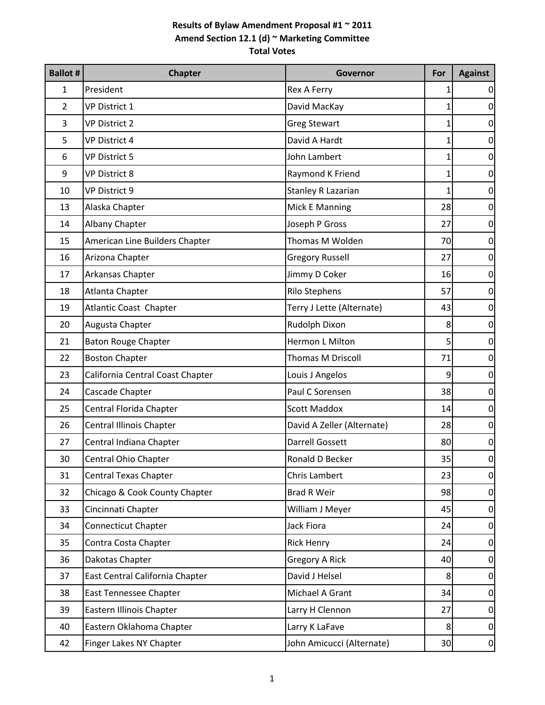| <b>Ballot #</b> | <b>Chapter</b>                   | Governor                   | For            | <b>Against</b>  |
|-----------------|----------------------------------|----------------------------|----------------|-----------------|
| 1               | President                        | Rex A Ferry                | 1              | $\vert 0 \vert$ |
| 2               | <b>VP District 1</b>             | David MacKay               | 1              | $\overline{0}$  |
| 3               | <b>VP District 2</b>             | <b>Greg Stewart</b>        | 1              | 0               |
| 5               | <b>VP District 4</b>             | David A Hardt              | 1              | $\mathbf 0$     |
| 6               | <b>VP District 5</b>             | John Lambert               | 1              | $\mathbf 0$     |
| 9               | <b>VP District 8</b>             | Raymond K Friend           | 1              | $\mathbf 0$     |
| 10              | <b>VP District 9</b>             | <b>Stanley R Lazarian</b>  | 1              | $\pmb{0}$       |
| 13              | Alaska Chapter                   | Mick E Manning             | 28             | $\mathbf 0$     |
| 14              | Albany Chapter                   | Joseph P Gross             | 27             | $\overline{0}$  |
| 15              | American Line Builders Chapter   | Thomas M Wolden            | 70             | 0               |
| 16              | Arizona Chapter                  | <b>Gregory Russell</b>     | 27             | $\mathbf 0$     |
| 17              | Arkansas Chapter                 | Jimmy D Coker              | 16             | $\mathbf 0$     |
| 18              | Atlanta Chapter                  | <b>Rilo Stephens</b>       | 57             | 0               |
| 19              | <b>Atlantic Coast Chapter</b>    | Terry J Lette (Alternate)  | 43             | $\pmb{0}$       |
| 20              | Augusta Chapter                  | Rudolph Dixon              | 8              | $\mathbf 0$     |
| 21              | <b>Baton Rouge Chapter</b>       | Hermon L Milton            | 5              | $\overline{0}$  |
| 22              | <b>Boston Chapter</b>            | Thomas M Driscoll          | 71             | 0               |
| 23              | California Central Coast Chapter | Louis J Angelos            | 9              | $\mathbf 0$     |
| 24              | Cascade Chapter                  | Paul C Sorensen            | 38             | $\mathbf 0$     |
| 25              | Central Florida Chapter          | <b>Scott Maddox</b>        | 14             | $\mathbf 0$     |
| 26              | Central Illinois Chapter         | David A Zeller (Alternate) | 28             | $\pmb{0}$       |
| 27              | Central Indiana Chapter          | <b>Darrell Gossett</b>     | 80             | $\pmb{0}$       |
| 30              | Central Ohio Chapter             | Ronald D Becker            | 35             | $\overline{0}$  |
| 31              | <b>Central Texas Chapter</b>     | Chris Lambert              | 23             | $\overline{0}$  |
| 32              | Chicago & Cook County Chapter    | <b>Brad R Weir</b>         | 98             | $\Omega$        |
| 33              | Cincinnati Chapter               | William J Meyer            | 45             | $\overline{0}$  |
| 34              | <b>Connecticut Chapter</b>       | Jack Fiora                 | 24             | $\overline{0}$  |
| 35              | Contra Costa Chapter             | <b>Rick Henry</b>          | 24             | $\overline{0}$  |
| 36              | Dakotas Chapter                  | <b>Gregory A Rick</b>      | 40             | $\overline{0}$  |
| 37              | East Central California Chapter  | David J Helsel             | 8              | $\overline{0}$  |
| 38              | East Tennessee Chapter           | Michael A Grant            | 34             | $\overline{0}$  |
| 39              | Eastern Illinois Chapter         | Larry H Clennon            | 27             | $\vert 0 \vert$ |
| 40              | Eastern Oklahoma Chapter         | Larry K LaFave             | 8 <sup>°</sup> | $\overline{0}$  |
| 42              | Finger Lakes NY Chapter          | John Amicucci (Alternate)  | 30             | $\overline{0}$  |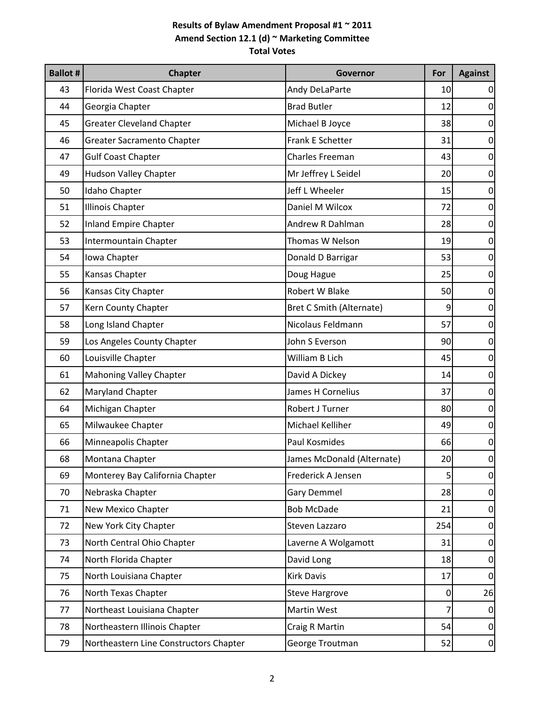| <b>Ballot #</b> | <b>Chapter</b>                         | Governor                        | For             | <b>Against</b>  |
|-----------------|----------------------------------------|---------------------------------|-----------------|-----------------|
| 43              | Florida West Coast Chapter             | Andy DeLaParte                  | 10              | 0               |
| 44              | Georgia Chapter                        | <b>Brad Butler</b>              | 12              | 0               |
| 45              | <b>Greater Cleveland Chapter</b>       | Michael B Joyce                 | 38              | 0               |
| 46              | Greater Sacramento Chapter             | Frank E Schetter                | 31              | $\mathbf 0$     |
| 47              | <b>Gulf Coast Chapter</b>              | Charles Freeman                 | 43              | $\mathbf 0$     |
| 49              | <b>Hudson Valley Chapter</b>           | Mr Jeffrey L Seidel             | 20              | $\mathbf 0$     |
| 50              | Idaho Chapter                          | Jeff L Wheeler                  | 15              | $\pmb{0}$       |
| 51              | <b>Illinois Chapter</b>                | Daniel M Wilcox                 | 72              | $\overline{0}$  |
| 52              | <b>Inland Empire Chapter</b>           | Andrew R Dahlman                | 28              | $\mathbf 0$     |
| 53              | Intermountain Chapter                  | Thomas W Nelson                 | 19              | $\mathbf 0$     |
| 54              | Iowa Chapter                           | Donald D Barrigar               | 53              | $\mathbf 0$     |
| 55              | Kansas Chapter                         | Doug Hague                      | 25              | $\mathbf 0$     |
| 56              | Kansas City Chapter                    | Robert W Blake                  | 50              | $\mathbf 0$     |
| 57              | Kern County Chapter                    | <b>Bret C Smith (Alternate)</b> | 9               | $\pmb{0}$       |
| 58              | Long Island Chapter                    | Nicolaus Feldmann               | 57              | $\mathbf 0$     |
| 59              | Los Angeles County Chapter             | John S Everson                  | 90              | $\mathbf 0$     |
| 60              | Louisville Chapter                     | William B Lich                  | 45              | $\mathbf 0$     |
| 61              | <b>Mahoning Valley Chapter</b>         | David A Dickey                  | 14              | $\mathbf 0$     |
| 62              | <b>Maryland Chapter</b>                | James H Cornelius               | 37              | $\mathbf 0$     |
| 64              | Michigan Chapter                       | Robert J Turner                 | 80              | $\mathbf 0$     |
| 65              | Milwaukee Chapter                      | Michael Kelliher                | 49              | $\pmb{0}$       |
| 66              | Minneapolis Chapter                    | Paul Kosmides                   | 66              | $\overline{0}$  |
| 68              | Montana Chapter                        | James McDonald (Alternate)      | 20 <sub>l</sub> | $\overline{0}$  |
| 69              | Monterey Bay California Chapter        | Frederick A Jensen              | 5               | $\overline{0}$  |
| 70              | Nebraska Chapter                       | Gary Demmel                     | 28              | 0               |
| 71              | New Mexico Chapter                     | <b>Bob McDade</b>               | 21              | $\overline{0}$  |
| 72              | New York City Chapter                  | Steven Lazzaro                  | 254             | $\mathbf 0$     |
| 73              | North Central Ohio Chapter             | Laverne A Wolgamott             | 31              | $\overline{0}$  |
| 74              | North Florida Chapter                  | David Long                      | 18              | $\overline{0}$  |
| 75              | North Louisiana Chapter                | <b>Kirk Davis</b>               | 17              | $\vert 0 \vert$ |
| 76              | North Texas Chapter                    | <b>Steve Hargrove</b>           | 0               | 26              |
| 77              | Northeast Louisiana Chapter            | Martin West                     | 7               | 0               |
| 78              | Northeastern Illinois Chapter          | Craig R Martin                  | 54              | $\overline{0}$  |
| 79              | Northeastern Line Constructors Chapter | George Troutman                 | 52              | $\overline{0}$  |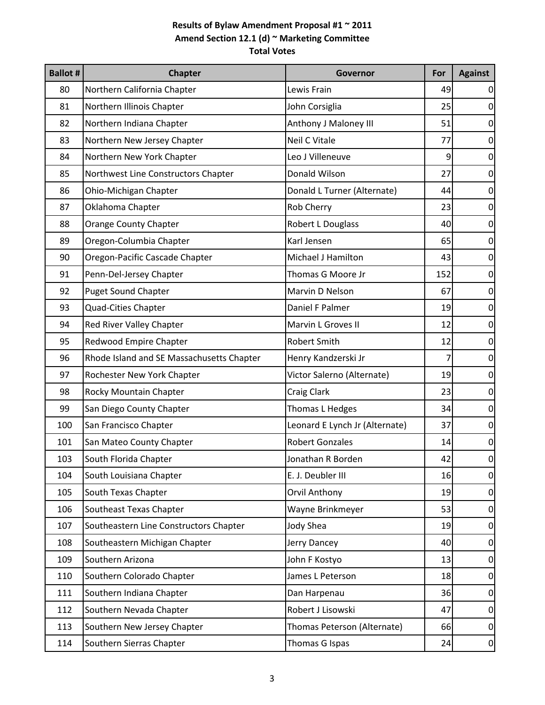| <b>Ballot #</b> | <b>Chapter</b>                            | <b>Governor</b>                | For | <b>Against</b>  |
|-----------------|-------------------------------------------|--------------------------------|-----|-----------------|
| 80              | Northern California Chapter               | Lewis Frain                    | 49  | $\Omega$        |
| 81              | Northern Illinois Chapter                 | John Corsiglia                 | 25  | 0               |
| 82              | Northern Indiana Chapter                  | Anthony J Maloney III          | 51  | 0               |
| 83              | Northern New Jersey Chapter               | <b>Neil C Vitale</b>           | 77  | 0               |
| 84              | Northern New York Chapter                 | Leo J Villeneuve               | 9   | $\mathbf 0$     |
| 85              | Northwest Line Constructors Chapter       | Donald Wilson                  | 27  | $\mathbf 0$     |
| 86              | Ohio-Michigan Chapter                     | Donald L Turner (Alternate)    | 44  | $\overline{0}$  |
| 87              | Oklahoma Chapter                          | Rob Cherry                     | 23  | $\mathbf 0$     |
| 88              | <b>Orange County Chapter</b>              | Robert L Douglass              | 40  | 0               |
| 89              | Oregon-Columbia Chapter                   | Karl Jensen                    | 65  | $\mathbf 0$     |
| 90              | Oregon-Pacific Cascade Chapter            | Michael J Hamilton             | 43  | $\mathbf 0$     |
| 91              | Penn-Del-Jersey Chapter                   | Thomas G Moore Jr              | 152 | $\mathbf 0$     |
| 92              | <b>Puget Sound Chapter</b>                | Marvin D Nelson                | 67  | $\mathbf 0$     |
| 93              | Quad-Cities Chapter                       | Daniel F Palmer                | 19  | $\overline{0}$  |
| 94              | Red River Valley Chapter                  | Marvin L Groves II             | 12  | $\overline{0}$  |
| 95              | Redwood Empire Chapter                    | <b>Robert Smith</b>            | 12  | $\mathbf 0$     |
| 96              | Rhode Island and SE Massachusetts Chapter | Henry Kandzerski Jr            | 7   | $\mathbf 0$     |
| 97              | Rochester New York Chapter                | Victor Salerno (Alternate)     | 19  | $\mathbf 0$     |
| 98              | Rocky Mountain Chapter                    | <b>Craig Clark</b>             | 23  | $\mathbf 0$     |
| 99              | San Diego County Chapter                  | Thomas L Hedges                | 34  | $\mathbf 0$     |
| 100             | San Francisco Chapter                     | Leonard E Lynch Jr (Alternate) | 37  | $\overline{0}$  |
| 101             | San Mateo County Chapter                  | <b>Robert Gonzales</b>         | 14  | $\overline{0}$  |
| 103             | South Florida Chapter                     | Jonathan R Borden              | 42  | $\overline{0}$  |
| 104             | South Louisiana Chapter                   | E. J. Deubler III              | 16  | $\overline{0}$  |
| 105             | South Texas Chapter                       | <b>Orvil Anthony</b>           | 19  | $\mathbf 0$     |
| 106             | Southeast Texas Chapter                   | Wayne Brinkmeyer               | 53  | $\mathbf 0$     |
| 107             | Southeastern Line Constructors Chapter    | <b>Jody Shea</b>               | 19  | $\pmb{0}$       |
| 108             | Southeastern Michigan Chapter             | Jerry Dancey                   | 40  | $\overline{0}$  |
| 109             | Southern Arizona                          | John F Kostyo                  | 13  | $\overline{0}$  |
| 110             | Southern Colorado Chapter                 | James L Peterson               | 18  | $\vert 0 \vert$ |
| 111             | Southern Indiana Chapter                  | Dan Harpenau                   | 36  | $\overline{0}$  |
| 112             | Southern Nevada Chapter                   | Robert J Lisowski              | 47  | $\mathbf 0$     |
| 113             | Southern New Jersey Chapter               | Thomas Peterson (Alternate)    | 66  | $\overline{0}$  |
| 114             | Southern Sierras Chapter                  | Thomas G Ispas                 | 24  | $\overline{0}$  |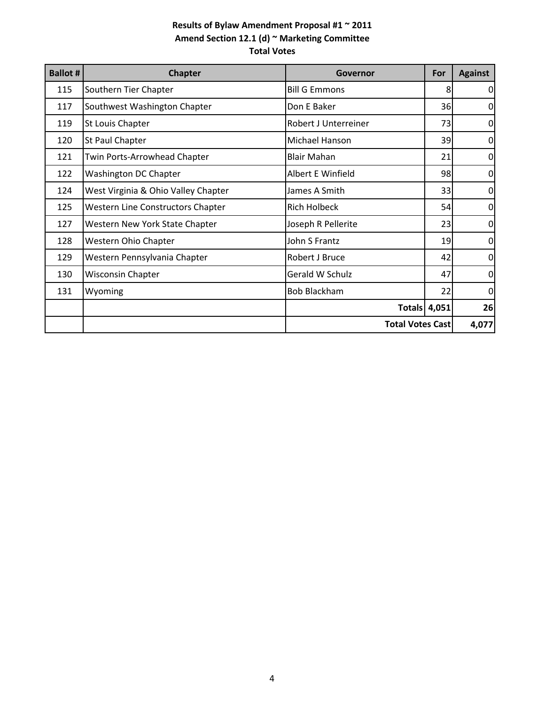| <b>Ballot #</b> | <b>Chapter</b>                           | <b>Governor</b>      | For                     | <b>Against</b>   |
|-----------------|------------------------------------------|----------------------|-------------------------|------------------|
| 115             | Southern Tier Chapter                    | <b>Bill G Emmons</b> | 8                       | $\Omega$         |
| 117             | Southwest Washington Chapter             | Don E Baker          | 36                      | $\mathbf 0$      |
| 119             | St Louis Chapter                         | Robert J Unterreiner | 73                      | 0                |
| 120             | St Paul Chapter                          | Michael Hanson       | 39                      | 0                |
| 121             | Twin Ports-Arrowhead Chapter             | <b>Blair Mahan</b>   | 21                      | 0                |
| 122             | Washington DC Chapter                    | Albert E Winfield    | 98                      | $\vert 0 \vert$  |
| 124             | West Virginia & Ohio Valley Chapter      | James A Smith        | 33                      | $\mathbf 0$      |
| 125             | <b>Western Line Constructors Chapter</b> | <b>Rich Holbeck</b>  | 54                      | $\mathbf 0$      |
| 127             | Western New York State Chapter           | Joseph R Pellerite   | 23                      | $\overline{0}$   |
| 128             | Western Ohio Chapter                     | John S Frantz        | 19                      | 0                |
| 129             | Western Pennsylvania Chapter             | Robert J Bruce       | 42                      | $\mathbf 0$      |
| 130             | <b>Wisconsin Chapter</b>                 | Gerald W Schulz      | 47                      | $\overline{0}$   |
| 131             | Wyoming                                  | <b>Bob Blackham</b>  | 22                      | $\boldsymbol{0}$ |
|                 |                                          |                      | <b>Totals 4,051</b>     | 26               |
|                 |                                          |                      | <b>Total Votes Cast</b> |                  |